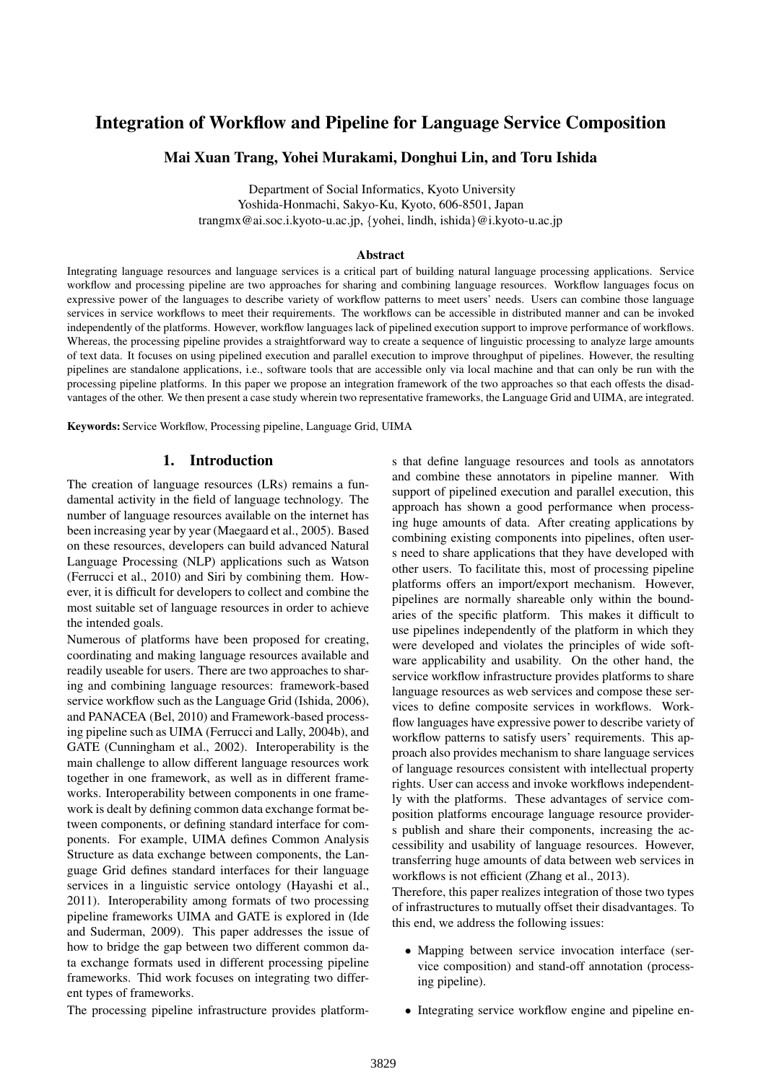# Integration of Workflow and Pipeline for Language Service Composition

## Mai Xuan Trang, Yohei Murakami, Donghui Lin, and Toru Ishida

Department of Social Informatics, Kyoto University Yoshida-Honmachi, Sakyo-Ku, Kyoto, 606-8501, Japan trangmx@ai.soc.i.kyoto-u.ac.jp, {yohei, lindh, ishida}@i.kyoto-u.ac.jp

#### Abstract

Integrating language resources and language services is a critical part of building natural language processing applications. Service workflow and processing pipeline are two approaches for sharing and combining language resources. Workflow languages focus on expressive power of the languages to describe variety of workflow patterns to meet users' needs. Users can combine those language services in service workflows to meet their requirements. The workflows can be accessible in distributed manner and can be invoked independently of the platforms. However, workflow languages lack of pipelined execution support to improve performance of workflows. Whereas, the processing pipeline provides a straightforward way to create a sequence of linguistic processing to analyze large amounts of text data. It focuses on using pipelined execution and parallel execution to improve throughput of pipelines. However, the resulting pipelines are standalone applications, i.e., software tools that are accessible only via local machine and that can only be run with the processing pipeline platforms. In this paper we propose an integration framework of the two approaches so that each offests the disadvantages of the other. We then present a case study wherein two representative frameworks, the Language Grid and UIMA, are integrated.

Keywords: Service Workflow, Processing pipeline, Language Grid, UIMA

#### 1. Introduction

The creation of language resources (LRs) remains a fundamental activity in the field of language technology. The number of language resources available on the internet has been increasing year by year (Maegaard et al., 2005). Based on these resources, developers can build advanced Natural Language Processing (NLP) applications such as Watson (Ferrucci et al., 2010) and Siri by combining them. However, it is difficult for developers to collect and combine the most suitable set of language resources in order to achieve the intended goals.

Numerous of platforms have been proposed for creating, coordinating and making language resources available and readily useable for users. There are two approaches to sharing and combining language resources: framework-based service workflow such as the Language Grid (Ishida, 2006), and PANACEA (Bel, 2010) and Framework-based processing pipeline such as UIMA (Ferrucci and Lally, 2004b), and GATE (Cunningham et al., 2002). Interoperability is the main challenge to allow different language resources work together in one framework, as well as in different frameworks. Interoperability between components in one framework is dealt by defining common data exchange format between components, or defining standard interface for components. For example, UIMA defines Common Analysis Structure as data exchange between components, the Language Grid defines standard interfaces for their language services in a linguistic service ontology (Hayashi et al., 2011). Interoperability among formats of two processing pipeline frameworks UIMA and GATE is explored in (Ide and Suderman, 2009). This paper addresses the issue of how to bridge the gap between two different common data exchange formats used in different processing pipeline frameworks. Thid work focuses on integrating two different types of frameworks.

s that define language resources and tools as annotators and combine these annotators in pipeline manner. With support of pipelined execution and parallel execution, this approach has shown a good performance when processing huge amounts of data. After creating applications by combining existing components into pipelines, often users need to share applications that they have developed with other users. To facilitate this, most of processing pipeline platforms offers an import/export mechanism. However, pipelines are normally shareable only within the boundaries of the specific platform. This makes it difficult to use pipelines independently of the platform in which they were developed and violates the principles of wide software applicability and usability. On the other hand, the service workflow infrastructure provides platforms to share language resources as web services and compose these services to define composite services in workflows. Workflow languages have expressive power to describe variety of workflow patterns to satisfy users' requirements. This approach also provides mechanism to share language services of language resources consistent with intellectual property rights. User can access and invoke workflows independently with the platforms. These advantages of service composition platforms encourage language resource providers publish and share their components, increasing the accessibility and usability of language resources. However, transferring huge amounts of data between web services in workflows is not efficient (Zhang et al., 2013).

Therefore, this paper realizes integration of those two types of infrastructures to mutually offset their disadvantages. To this end, we address the following issues:

• Mapping between service invocation interface (service composition) and stand-off annotation (processing pipeline).

The processing pipeline infrastructure provides platform-

• Integrating service workflow engine and pipeline en-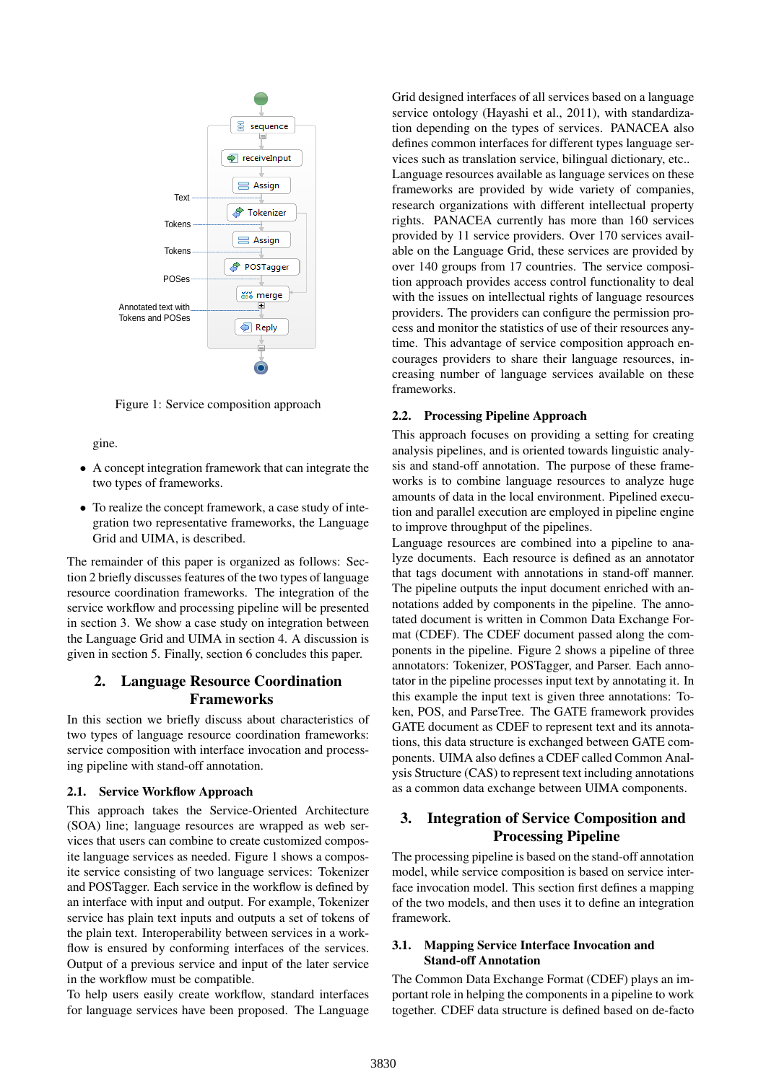

Figure 1: Service composition approach

gine.

- A concept integration framework that can integrate the two types of frameworks.
- To realize the concept framework, a case study of integration two representative frameworks, the Language Grid and UIMA, is described.

The remainder of this paper is organized as follows: Section 2 briefly discusses features of the two types of language resource coordination frameworks. The integration of the service workflow and processing pipeline will be presented in section 3. We show a case study on integration between the Language Grid and UIMA in section 4. A discussion is given in section 5. Finally, section 6 concludes this paper.

## 2. Language Resource Coordination Frameworks

In this section we briefly discuss about characteristics of two types of language resource coordination frameworks: service composition with interface invocation and processing pipeline with stand-off annotation.

#### 2.1. Service Workflow Approach

This approach takes the Service-Oriented Architecture (SOA) line; language resources are wrapped as web services that users can combine to create customized composite language services as needed. Figure 1 shows a composite service consisting of two language services: Tokenizer and POSTagger. Each service in the workflow is defined by an interface with input and output. For example, Tokenizer service has plain text inputs and outputs a set of tokens of the plain text. Interoperability between services in a workflow is ensured by conforming interfaces of the services. Output of a previous service and input of the later service in the workflow must be compatible.

To help users easily create workflow, standard interfaces for language services have been proposed. The Language Grid designed interfaces of all services based on a language service ontology (Hayashi et al., 2011), with standardization depending on the types of services. PANACEA also defines common interfaces for different types language services such as translation service, bilingual dictionary, etc.. Language resources available as language services on these frameworks are provided by wide variety of companies, research organizations with different intellectual property rights. PANACEA currently has more than 160 services provided by 11 service providers. Over 170 services available on the Language Grid, these services are provided by over 140 groups from 17 countries. The service composition approach provides access control functionality to deal with the issues on intellectual rights of language resources providers. The providers can configure the permission process and monitor the statistics of use of their resources anytime. This advantage of service composition approach encourages providers to share their language resources, increasing number of language services available on these frameworks.

#### 2.2. Processing Pipeline Approach

This approach focuses on providing a setting for creating analysis pipelines, and is oriented towards linguistic analysis and stand-off annotation. The purpose of these frameworks is to combine language resources to analyze huge amounts of data in the local environment. Pipelined execution and parallel execution are employed in pipeline engine to improve throughput of the pipelines.

Language resources are combined into a pipeline to analyze documents. Each resource is defined as an annotator that tags document with annotations in stand-off manner. The pipeline outputs the input document enriched with annotations added by components in the pipeline. The annotated document is written in Common Data Exchange Format (CDEF). The CDEF document passed along the components in the pipeline. Figure 2 shows a pipeline of three annotators: Tokenizer, POSTagger, and Parser. Each annotator in the pipeline processes input text by annotating it. In this example the input text is given three annotations: Token, POS, and ParseTree. The GATE framework provides GATE document as CDEF to represent text and its annotations, this data structure is exchanged between GATE components. UIMA also defines a CDEF called Common Analysis Structure (CAS) to represent text including annotations as a common data exchange between UIMA components.

## 3. Integration of Service Composition and Processing Pipeline

The processing pipeline is based on the stand-off annotation model, while service composition is based on service interface invocation model. This section first defines a mapping of the two models, and then uses it to define an integration framework.

#### 3.1. Mapping Service Interface Invocation and Stand-off Annotation

The Common Data Exchange Format (CDEF) plays an important role in helping the components in a pipeline to work together. CDEF data structure is defined based on de-facto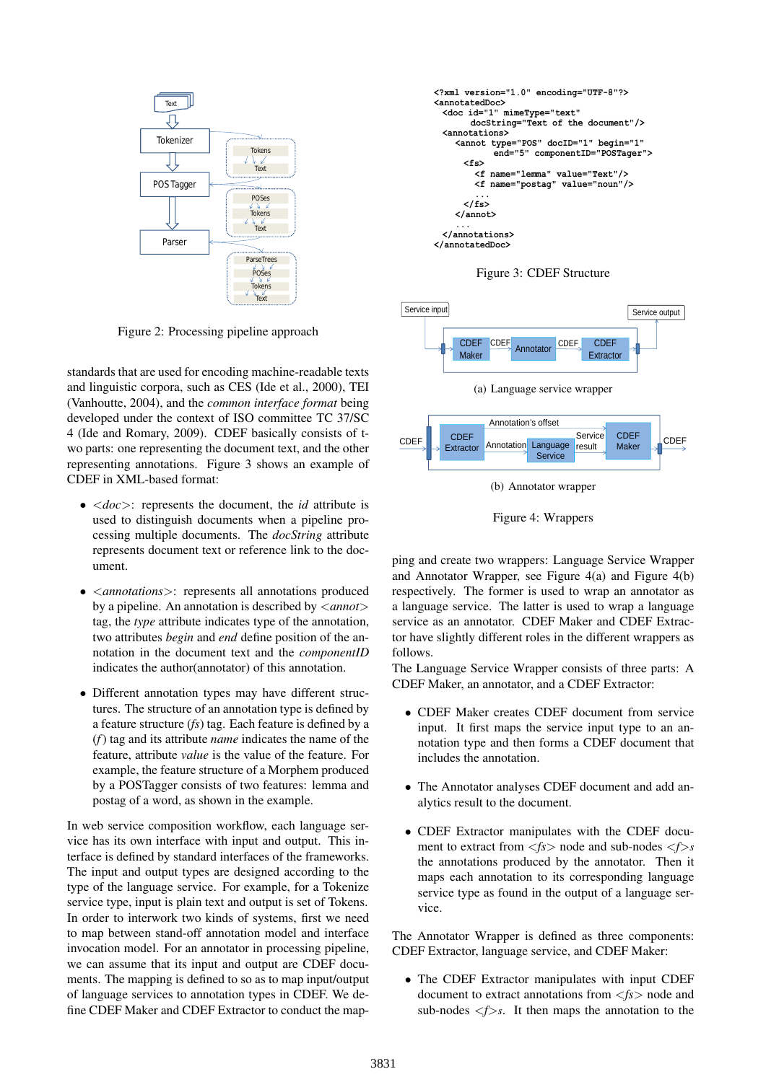

Figure 2: Processing pipeline approach

standards that are used for encoding machine-readable texts and linguistic corpora, such as CES (Ide et al., 2000), TEI (Vanhoutte, 2004), and the *common interface format* being developed under the context of ISO committee TC 37/SC 4 (Ide and Romary, 2009). CDEF basically consists of two parts: one representing the document text, and the other representing annotations. Figure 3 shows an example of CDEF in XML-based format:

- <*doc*>: represents the document, the *id* attribute is used to distinguish documents when a pipeline processing multiple documents. The *docString* attribute represents document text or reference link to the document.
- <*annotations*>: represents all annotations produced by a pipeline. An annotation is described by <*annot*> tag, the *type* attribute indicates type of the annotation, two attributes *begin* and *end* define position of the annotation in the document text and the *componentID* indicates the author(annotator) of this annotation.
- Different annotation types may have different structures. The structure of an annotation type is defined by a feature structure (*fs*) tag. Each feature is defined by a (*f*) tag and its attribute *name* indicates the name of the feature, attribute *value* is the value of the feature. For example, the feature structure of a Morphem produced by a POSTagger consists of two features: lemma and postag of a word, as shown in the example.

In web service composition workflow, each language service has its own interface with input and output. This interface is defined by standard interfaces of the frameworks. The input and output types are designed according to the type of the language service. For example, for a Tokenize service type, input is plain text and output is set of Tokens. In order to interwork two kinds of systems, first we need to map between stand-off annotation model and interface invocation model. For an annotator in processing pipeline, we can assume that its input and output are CDEF documents. The mapping is defined to so as to map input/output of language services to annotation types in CDEF. We define CDEF Maker and CDEF Extractor to conduct the map-



Figure 3: CDEF Structure



Figure 4: Wrappers

ping and create two wrappers: Language Service Wrapper and Annotator Wrapper, see Figure 4(a) and Figure 4(b) respectively. The former is used to wrap an annotator as a language service. The latter is used to wrap a language service as an annotator. CDEF Maker and CDEF Extractor have slightly different roles in the different wrappers as follows.

The Language Service Wrapper consists of three parts: A CDEF Maker, an annotator, and a CDEF Extractor:

- CDEF Maker creates CDEF document from service input. It first maps the service input type to an annotation type and then forms a CDEF document that includes the annotation.
- The Annotator analyses CDEF document and add analytics result to the document.
- CDEF Extractor manipulates with the CDEF document to extract from  $\langle f \rangle$  node and sub-nodes  $\langle f \rangle$ s the annotations produced by the annotator. Then it maps each annotation to its corresponding language service type as found in the output of a language service.

The Annotator Wrapper is defined as three components: CDEF Extractor, language service, and CDEF Maker:

• The CDEF Extractor manipulates with input CDEF document to extract annotations from <*fs*> node and sub-nodes  $\leq f$ >s. It then maps the annotation to the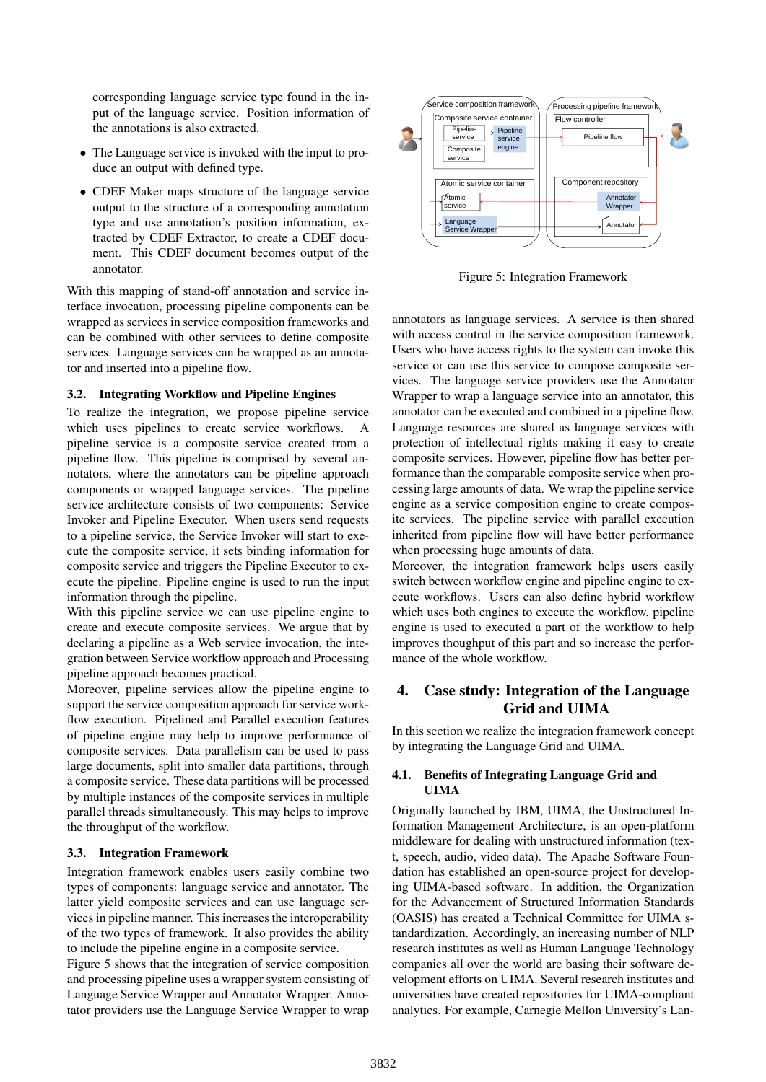corresponding language service type found in the input of the language service. Position information of the annotations is also extracted.

- The Language service is invoked with the input to produce an output with defined type.
- CDEF Maker maps structure of the language service output to the structure of a corresponding annotation type and use annotation's position information, extracted by CDEF Extractor, to create a CDEF document. This CDEF document becomes output of the annotator.

With this mapping of stand-off annotation and service interface invocation, processing pipeline components can be wrapped as services in service composition frameworks and can be combined with other services to define composite services. Language services can be wrapped as an annotator and inserted into a pipeline flow.

### 3.2. Integrating Workflow and Pipeline Engines

To realize the integration, we propose pipeline service which uses pipelines to create service workflows. A pipeline service is a composite service created from a pipeline flow. This pipeline is comprised by several annotators, where the annotators can be pipeline approach components or wrapped language services. The pipeline service architecture consists of two components: Service Invoker and Pipeline Executor. When users send requests to a pipeline service, the Service Invoker will start to execute the composite service, it sets binding information for composite service and triggers the Pipeline Executor to execute the pipeline. Pipeline engine is used to run the input information through the pipeline.

With this pipeline service we can use pipeline engine to create and execute composite services. We argue that by declaring a pipeline as a Web service invocation, the integration between Service workflow approach and Processing pipeline approach becomes practical.

Moreover, pipeline services allow the pipeline engine to support the service composition approach for service workflow execution. Pipelined and Parallel execution features of pipeline engine may help to improve performance of composite services. Data parallelism can be used to pass large documents, split into smaller data partitions, through a composite service. These data partitions will be processed by multiple instances of the composite services in multiple parallel threads simultaneously. This may helps to improve the throughput of the workflow.

#### 3.3. Integration Framework

Integration framework enables users easily combine two types of components: language service and annotator. The latter yield composite services and can use language services in pipeline manner. This increases the interoperability of the two types of framework. It also provides the ability to include the pipeline engine in a composite service.

Figure 5 shows that the integration of service composition and processing pipeline uses a wrapper system consisting of Language Service Wrapper and Annotator Wrapper. Annotator providers use the Language Service Wrapper to wrap



Figure 5: Integration Framework

annotators as language services. A service is then shared with access control in the service composition framework. Users who have access rights to the system can invoke this service or can use this service to compose composite services. The language service providers use the Annotator Wrapper to wrap a language service into an annotator, this annotator can be executed and combined in a pipeline flow. Language resources are shared as language services with protection of intellectual rights making it easy to create composite services. However, pipeline flow has better performance than the comparable composite service when processing large amounts of data. We wrap the pipeline service engine as a service composition engine to create composite services. The pipeline service with parallel execution inherited from pipeline flow will have better performance when processing huge amounts of data.

Moreover, the integration framework helps users easily switch between workflow engine and pipeline engine to execute workflows. Users can also define hybrid workflow which uses both engines to execute the workflow, pipeline engine is used to executed a part of the workflow to help improves thoughput of this part and so increase the performance of the whole workflow.

## 4. Case study: Integration of the Language Grid and UIMA

In this section we realize the integration framework concept by integrating the Language Grid and UIMA.

## 4.1. Benefits of Integrating Language Grid and UIMA

Originally launched by IBM, UIMA, the Unstructured Information Management Architecture, is an open-platform middleware for dealing with unstructured information (text, speech, audio, video data). The Apache Software Foundation has established an open-source project for developing UIMA-based software. In addition, the Organization for the Advancement of Structured Information Standards (OASIS) has created a Technical Committee for UIMA standardization. Accordingly, an increasing number of NLP research institutes as well as Human Language Technology companies all over the world are basing their software development efforts on UIMA. Several research institutes and universities have created repositories for UIMA-compliant analytics. For example, Carnegie Mellon University's Lan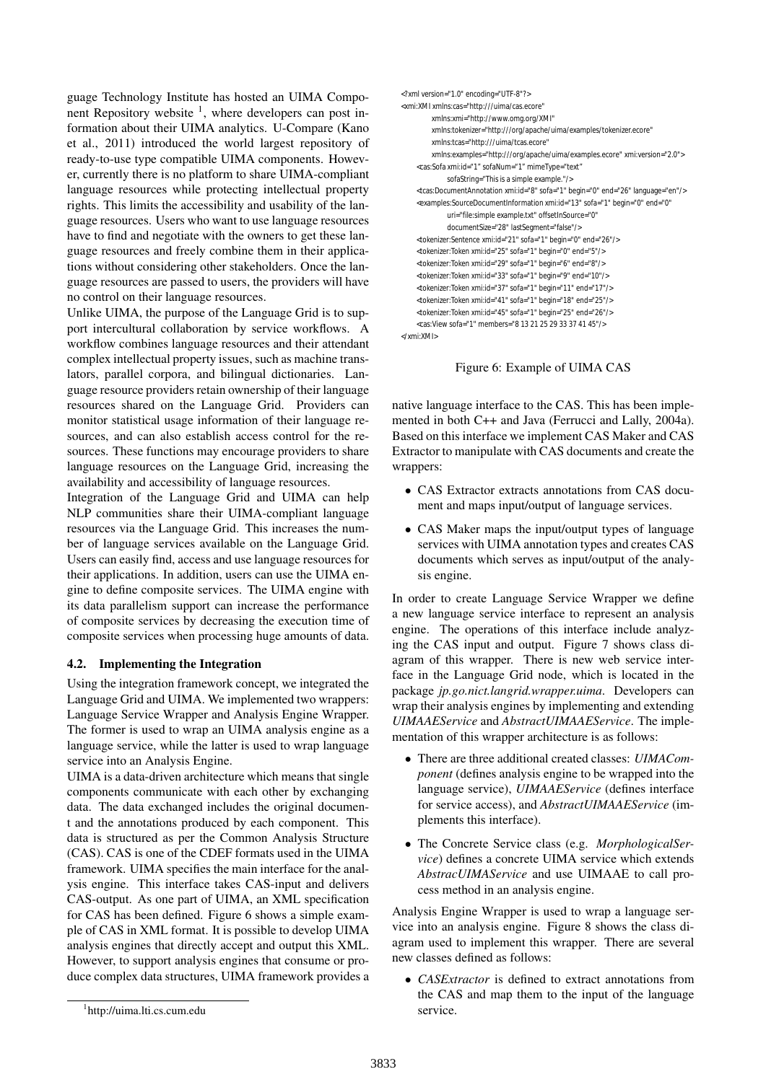guage Technology Institute has hosted an UIMA Component Repository website <sup>1</sup>, where developers can post information about their UIMA analytics. U-Compare (Kano et al., 2011) introduced the world largest repository of ready-to-use type compatible UIMA components. However, currently there is no platform to share UIMA-compliant language resources while protecting intellectual property rights. This limits the accessibility and usability of the language resources. Users who want to use language resources have to find and negotiate with the owners to get these language resources and freely combine them in their applications without considering other stakeholders. Once the language resources are passed to users, the providers will have no control on their language resources.

Unlike UIMA, the purpose of the Language Grid is to support intercultural collaboration by service workflows. A workflow combines language resources and their attendant complex intellectual property issues, such as machine translators, parallel corpora, and bilingual dictionaries. Language resource providers retain ownership of their language resources shared on the Language Grid. Providers can monitor statistical usage information of their language resources, and can also establish access control for the resources. These functions may encourage providers to share language resources on the Language Grid, increasing the availability and accessibility of language resources.

Integration of the Language Grid and UIMA can help NLP communities share their UIMA-compliant language resources via the Language Grid. This increases the number of language services available on the Language Grid. Users can easily find, access and use language resources for their applications. In addition, users can use the UIMA engine to define composite services. The UIMA engine with its data parallelism support can increase the performance of composite services by decreasing the execution time of composite services when processing huge amounts of data.

## 4.2. Implementing the Integration

Using the integration framework concept, we integrated the Language Grid and UIMA. We implemented two wrappers: Language Service Wrapper and Analysis Engine Wrapper. The former is used to wrap an UIMA analysis engine as a language service, while the latter is used to wrap language service into an Analysis Engine.

UIMA is a data-driven architecture which means that single components communicate with each other by exchanging data. The data exchanged includes the original document and the annotations produced by each component. This data is structured as per the Common Analysis Structure (CAS). CAS is one of the CDEF formats used in the UIMA framework. UIMA specifies the main interface for the analysis engine. This interface takes CAS-input and delivers CAS-output. As one part of UIMA, an XML specification for CAS has been defined. Figure 6 shows a simple example of CAS in XML format. It is possible to develop UIMA analysis engines that directly accept and output this XML. However, to support analysis engines that consume or produce complex data structures, UIMA framework provides a

```
<?xml version="1.0" encoding="UTF-8"?>
<xmi:XMI xmlns:cas="http:///uima/cas.ecore" 
         xmlns:xmi="http://www.omg.org/XMI" 
         xmlns:tokenizer="http:///org/apache/uima/examples/tokenizer.ecore"
         xmlns:tcas="http:///uima/tcas.ecore" 
         xmlns:examples="http:///org/apache/uima/examples.ecore" xmi:version="2.0">
    <cas:Sofa xmi:id="1" sofaNum="1" mimeType="text" 
             sofaString="This is a simple example."/>
    <tcas:DocumentAnnotation xmi:id="8" sofa="1" begin="0" end="26" language="en"/>
    <examples:SourceDocumentInformation xmi:id="13" sofa="1" begin="0" end="0" 
              uri="file:simple example.txt" offsetInSource="0" 
             documentSize="28" lastSegment="false"/>
    <tokenizer:Sentence xmi:id="21" sofa="1" begin="0" end="26"/>
    <tokenizer:Token xmi:id="25" sofa="1" begin="0" end="5"/>
    <tokenizer:Token xmi:id="29" sofa="1" begin="6" end="8"/>
    <tokenizer:Token xmi:id="33" sofa="1" begin="9" end="10"/>
    <tokenizer:Token xmi:id="37" sofa="1" begin="11" end="17"/>
    <tokenizer:Token xmi:id="41" sofa="1" begin="18" end="25"/>
    <tokenizer:Token xmi:id="45" sofa="1" begin="25" end="26"/>
    <cas:View sofa="1" members="8 13 21 25 29 33 37 41 45"/>
```
 $z$ /ymi:YMI $\sim$ 

Figure 6: Example of UIMA CAS

native language interface to the CAS. This has been implemented in both C++ and Java (Ferrucci and Lally, 2004a). Based on this interface we implement CAS Maker and CAS Extractor to manipulate with CAS documents and create the wrappers:

- CAS Extractor extracts annotations from CAS document and maps input/output of language services.
- CAS Maker maps the input/output types of language services with UIMA annotation types and creates CAS documents which serves as input/output of the analysis engine.

In order to create Language Service Wrapper we define a new language service interface to represent an analysis engine. The operations of this interface include analyzing the CAS input and output. Figure 7 shows class diagram of this wrapper. There is new web service interface in the Language Grid node, which is located in the package *jp.go.nict.langrid.wrapper.uima*. Developers can wrap their analysis engines by implementing and extending *UIMAAEService* and *AbstractUIMAAEService*. The implementation of this wrapper architecture is as follows:

- There are three additional created classes: *UIMAComponent* (defines analysis engine to be wrapped into the language service), *UIMAAEService* (defines interface for service access), and *AbstractUIMAAEService* (implements this interface).
- The Concrete Service class (e.g. *MorphologicalService*) defines a concrete UIMA service which extends *AbstracUIMAService* and use UIMAAE to call process method in an analysis engine.

Analysis Engine Wrapper is used to wrap a language service into an analysis engine. Figure 8 shows the class diagram used to implement this wrapper. There are several new classes defined as follows:

• *CASExtractor* is defined to extract annotations from the CAS and map them to the input of the language service.

<sup>1</sup> http://uima.lti.cs.cum.edu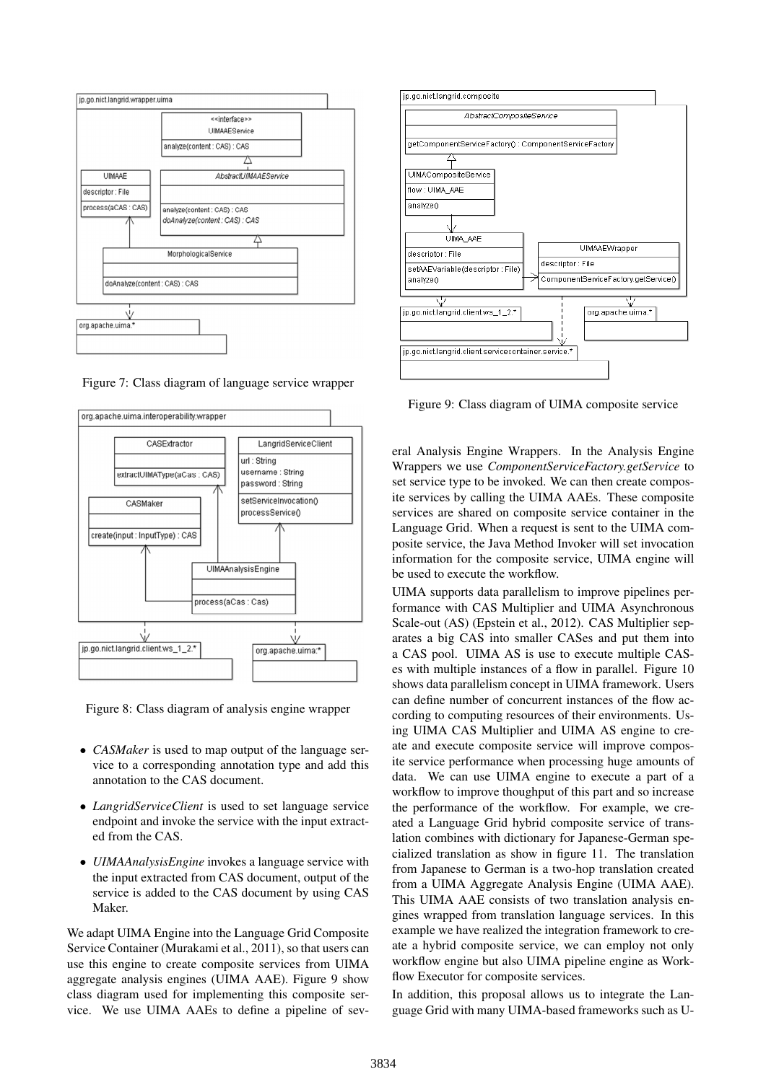

Figure 7: Class diagram of language service wrapper



Figure 8: Class diagram of analysis engine wrapper

- *CASMaker* is used to map output of the language service to a corresponding annotation type and add this annotation to the CAS document.
- *LangridServiceClient* is used to set language service endpoint and invoke the service with the input extracted from the CAS.
- *UIMAAnalysisEngine* invokes a language service with the input extracted from CAS document, output of the service is added to the CAS document by using CAS Maker.

We adapt UIMA Engine into the Language Grid Composite Service Container (Murakami et al., 2011), so that users can use this engine to create composite services from UIMA aggregate analysis engines (UIMA AAE). Figure 9 show class diagram used for implementing this composite service. We use UIMA AAEs to define a pipeline of sev-



Figure 9: Class diagram of UIMA composite service

eral Analysis Engine Wrappers. In the Analysis Engine Wrappers we use *ComponentServiceFactory.getService* to set service type to be invoked. We can then create composite services by calling the UIMA AAEs. These composite services are shared on composite service container in the Language Grid. When a request is sent to the UIMA composite service, the Java Method Invoker will set invocation information for the composite service, UIMA engine will be used to execute the workflow.

UIMA supports data parallelism to improve pipelines performance with CAS Multiplier and UIMA Asynchronous Scale-out (AS) (Epstein et al., 2012). CAS Multiplier separates a big CAS into smaller CASes and put them into a CAS pool. UIMA AS is use to execute multiple CASes with multiple instances of a flow in parallel. Figure 10 shows data parallelism concept in UIMA framework. Users can define number of concurrent instances of the flow according to computing resources of their environments. Using UIMA CAS Multiplier and UIMA AS engine to create and execute composite service will improve composite service performance when processing huge amounts of data. We can use UIMA engine to execute a part of a workflow to improve thoughput of this part and so increase the performance of the workflow. For example, we created a Language Grid hybrid composite service of translation combines with dictionary for Japanese-German specialized translation as show in figure 11. The translation from Japanese to German is a two-hop translation created from a UIMA Aggregate Analysis Engine (UIMA AAE). This UIMA AAE consists of two translation analysis engines wrapped from translation language services. In this example we have realized the integration framework to create a hybrid composite service, we can employ not only workflow engine but also UIMA pipeline engine as Workflow Executor for composite services.

In addition, this proposal allows us to integrate the Language Grid with many UIMA-based frameworks such as U-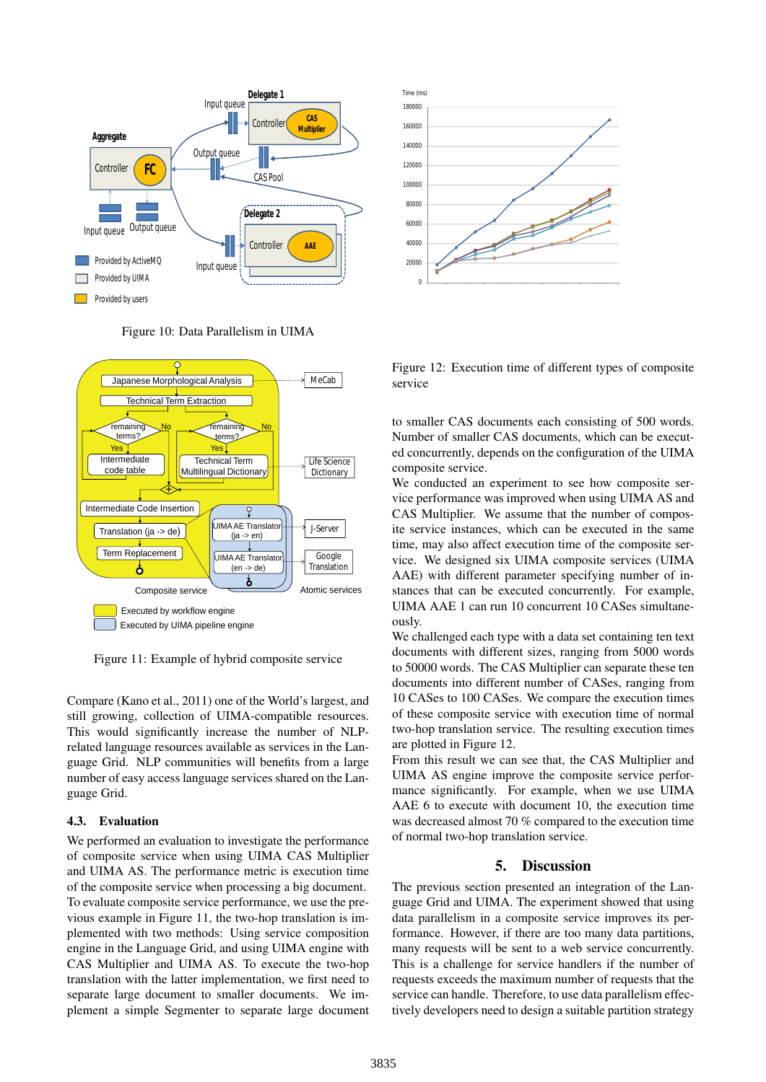





Figure 11: Example of hybrid composite service

Compare (Kano et al., 2011) one of the World's largest, and still growing, collection of UIMA-compatible resources. This would significantly increase the number of NLPrelated language resources available as services in the Language Grid. NLP communities will benefits from a large number of easy access language services shared on the Language Grid.

## 4.3. Evaluation

We performed an evaluation to investigate the performance of composite service when using UIMA CAS Multiplier and UIMA AS. The performance metric is execution time of the composite service when processing a big document. To evaluate composite service performance, we use the previous example in Figure 11, the two-hop translation is implemented with two methods: Using service composition engine in the Language Grid, and using UIMA engine with CAS Multiplier and UIMA AS. To execute the two-hop translation with the latter implementation, we first need to separate large document to smaller documents. We implement a simple Segmenter to separate large document



Figure 12: Execution time of different types of composite service

to smaller CAS documents each consisting of 500 words. Number of smaller CAS documents, which can be executed concurrently, depends on the configuration of the UIMA composite service.

We conducted an experiment to see how composite service performance was improved when using UIMA AS and CAS Multiplier. We assume that the number of composite service instances, which can be executed in the same time, may also affect execution time of the composite service. We designed six UIMA composite services (UIMA AAE) with different parameter specifying number of instances that can be executed concurrently. For example, UIMA AAE 1 can run 10 concurrent 10 CASes simultaneously.

We challenged each type with a data set containing ten text documents with different sizes, ranging from 5000 words to 50000 words. The CAS Multiplier can separate these ten documents into different number of CASes, ranging from 10 CASes to 100 CASes. We compare the execution times of these composite service with execution time of normal two-hop translation service. The resulting execution times are plotted in Figure 12.

From this result we can see that, the CAS Multiplier and UIMA AS engine improve the composite service performance significantly. For example, when we use UIMA AAE 6 to execute with document 10, the execution time was decreased almost 70 % compared to the execution time of normal two-hop translation service.

## 5. Discussion

The previous section presented an integration of the Language Grid and UIMA. The experiment showed that using data parallelism in a composite service improves its performance. However, if there are too many data partitions, many requests will be sent to a web service concurrently. This is a challenge for service handlers if the number of requests exceeds the maximum number of requests that the service can handle. Therefore, to use data parallelism effectively developers need to design a suitable partition strategy